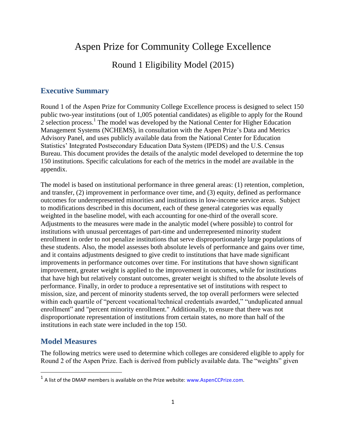## Aspen Prize for Community College Excellence

## Round 1 Eligibility Model (2015)

#### **Executive Summary**

Round 1 of the Aspen Prize for Community College Excellence process is designed to select 150 public two-year institutions (out of 1,005 potential candidates) as eligible to apply for the Round 2 selection process.<sup>1</sup> The model was developed by the National Center for Higher Education Management Systems (NCHEMS), in consultation with the Aspen Prize's Data and Metrics Advisory Panel, and uses publicly available data from the National Center for Education Statistics' Integrated Postsecondary Education Data System (IPEDS) and the U.S. Census Bureau. This document provides the details of the analytic model developed to determine the top 150 institutions. Specific calculations for each of the metrics in the model are available in the appendix.

The model is based on institutional performance in three general areas: (1) retention, completion, and transfer, (2) improvement in performance over time, and (3) equity, defined as performance outcomes for underrepresented minorities and institutions in low-income service areas. Subject to modifications described in this document, each of these general categories was equally weighted in the baseline model, with each accounting for one-third of the overall score. Adjustments to the measures were made in the analytic model (where possible) to control for institutions with unusual percentages of part-time and underrepresented minority student enrollment in order to not penalize institutions that serve disproportionately large populations of these students. Also, the model assesses both absolute levels of performance and gains over time, and it contains adjustments designed to give credit to institutions that have made significant improvements in performance outcomes over time. For institutions that have shown significant improvement, greater weight is applied to the improvement in outcomes, while for institutions that have high but relatively constant outcomes, greater weight is shifted to the absolute levels of performance. Finally, in order to produce a representative set of institutions with respect to mission, size, and percent of minority students served, the top overall performers were selected within each quartile of "percent vocational/technical credentials awarded," "unduplicated annual enrollment" and "percent minority enrollment." Additionally, to ensure that there was not disproportionate representation of institutions from certain states, no more than half of the institutions in each state were included in the top 150.

#### **Model Measures**

l

The following metrics were used to determine which colleges are considered eligible to apply for Round 2 of the Aspen Prize. Each is derived from publicly available data. The "weights" given

 $<sup>1</sup>$  A list of the DMAP members is available on the Prize website: www.AspenCCPrize.com.</sup>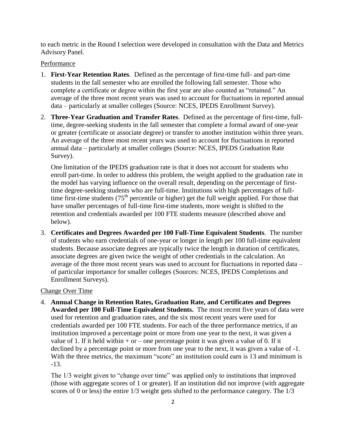to each metric in the Round I selection were developed in consultation with the Data and Metrics Advisory Panel.

#### Performance

- 1. **First-Year Retention Rates**. Defined as the percentage of first-time full- and part-time students in the fall semester who are enrolled the following fall semester. Those who complete a certificate or degree within the first year are also counted as "retained." An average of the three most recent years was used to account for fluctuations in reported annual data – particularly at smaller colleges (Source: NCES, IPEDS Enrollment Survey).
- 2. **Three-Year Graduation and Transfer Rates**. Defined as the percentage of first-time, fulltime, degree-seeking students in the fall semester that complete a formal award of one-year or greater (certificate or associate degree) or transfer to another institution within three years. An average of the three most recent years was used to account for fluctuations in reported annual data – particularly at smaller colleges (Source: NCES, IPEDS Graduation Rate Survey).

One limitation of the IPEDS graduation rate is that it does not account for students who enroll part-time. In order to address this problem, the weight applied to the graduation rate in the model has varying influence on the overall result, depending on the percentage of firsttime degree-seeking students who are full-time. Institutions with high percentages of fulltime first-time students  $(75<sup>th</sup>$  percentile or higher) get the full weight applied. For those that have smaller percentages of full-time first-time students, more weight is shifted to the retention and credentials awarded per 100 FTE students measure (described above and below).

3. **Certificates and Degrees Awarded per 100 Full-Time Equivalent Students**. The number of students who earn credentials of one-year or longer in length per 100 full-time equivalent students. Because associate degrees are typically twice the length in duration of certificates, associate degrees are given twice the weight of other credentials in the calculation. An average of the three most recent years was used to account for fluctuations in reported data – of particular importance for smaller colleges (Sources: NCES, IPEDS Completions and Enrollment Surveys).

#### Change Over Time

4. **Annual Change in Retention Rates, Graduation Rate, and Certificates and Degrees Awarded per 100 Full-Time Equivalent Students.** The most recent five years of data were used for retention and graduation rates, and the six most recent years were used for credentials awarded per 100 FTE students. For each of the three performance metrics, if an institution improved a percentage point or more from one year to the next, it was given a value of 1. If it held within  $+$  or  $-$  one percentage point it was given a value of 0. If it declined by a percentage point or more from one year to the next, it was given a value of -1. With the three metrics, the maximum "score" an institution could earn is 13 and minimum is -13.

The  $1/3$  weight given to "change over time" was applied only to institutions that improved (those with aggregate scores of 1 or greater). If an institution did not improve (with aggregate scores of 0 or less) the entire 1/3 weight gets shifted to the performance category. The 1/3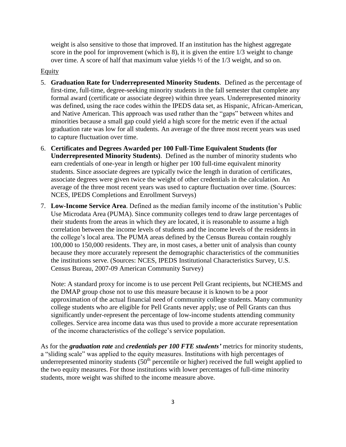weight is also sensitive to those that improved. If an institution has the highest aggregate score in the pool for improvement (which is 8), it is given the entire 1/3 weight to change over time. A score of half that maximum value yields ½ of the 1/3 weight, and so on.

#### **Equity**

- 5. **Graduation Rate for Underrepresented Minority Students**. Defined as the percentage of first-time, full-time, degree-seeking minority students in the fall semester that complete any formal award (certificate or associate degree) within three years. Underrepresented minority was defined, using the race codes within the IPEDS data set, as Hispanic, African-American, and Native American. This approach was used rather than the "gaps" between whites and minorities because a small gap could yield a high score for the metric even if the actual graduation rate was low for all students. An average of the three most recent years was used to capture fluctuation over time.
- 6. **Certificates and Degrees Awarded per 100 Full-Time Equivalent Students (for Underrepresented Minority Students)**. Defined as the number of minority students who earn credentials of one-year in length or higher per 100 full-time equivalent minority students. Since associate degrees are typically twice the length in duration of certificates, associate degrees were given twice the weight of other credentials in the calculation. An average of the three most recent years was used to capture fluctuation over time. (Sources: NCES, IPEDS Completions and Enrollment Surveys)
- 7. **Low-Income Service Area**. Defined as the median family income of the institution's Public Use Microdata Area (PUMA). Since community colleges tend to draw large percentages of their students from the areas in which they are located, it is reasonable to assume a high correlation between the income levels of students and the income levels of the residents in the college's local area. The PUMA areas defined by the Census Bureau contain roughly 100,000 to 150,000 residents. They are, in most cases, a better unit of analysis than county because they more accurately represent the demographic characteristics of the communities the institutions serve. (Sources: NCES, IPEDS Institutional Characteristics Survey, U.S. Census Bureau, 2007-09 American Community Survey)

Note: A standard proxy for income is to use percent Pell Grant recipients, but NCHEMS and the DMAP group chose not to use this measure because it is known to be a poor approximation of the actual financial need of community college students. Many community college students who are eligible for Pell Grants never apply; use of Pell Grants can thus significantly under-represent the percentage of low-income students attending community colleges. Service area income data was thus used to provide a more accurate representation of the income characteristics of the college's service population.

As for the *graduation rate* and *credentials per 100 FTE students'* metrics for minority students, a "sliding scale" was applied to the equity measures. Institutions with high percentages of underrepresented minority students  $(50<sup>th</sup>$  percentile or higher) received the full weight applied to the two equity measures. For those institutions with lower percentages of full-time minority students, more weight was shifted to the income measure above.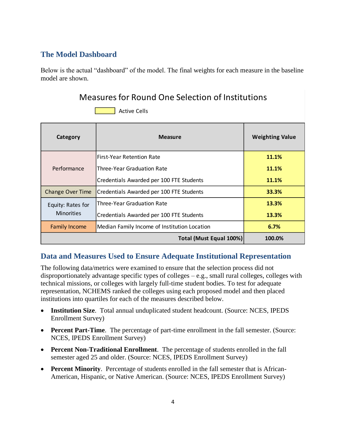## **The Model Dashboard**

Below is the actual "dashboard" of the model. The final weights for each measure in the baseline model are shown.

## Measures for Round One Selection of Institutions



| Category                | <b>Measure</b>                               | <b>Weighting Value</b> |
|-------------------------|----------------------------------------------|------------------------|
|                         | <b>First-Year Retention Rate</b>             | 11.1%                  |
| Performance             | Three-Year Graduation Rate                   | 11.1%                  |
|                         | Credentials Awarded per 100 FTE Students     | 11.1%                  |
| <b>Change Over Time</b> | Credentials Awarded per 100 FTE Students     | 33.3%                  |
| Equity: Rates for       | Three-Year Graduation Rate                   | 13.3%                  |
| <b>Minorities</b>       | Credentials Awarded per 100 FTE Students     | 13.3%                  |
| <b>Family Income</b>    | Median Family Income of Institution Location | 6.7%                   |
|                         | Total (Must Equal 100%)                      | 100.0%                 |

## **Data and Measures Used to Ensure Adequate Institutional Representation**

The following data/metrics were examined to ensure that the selection process did not disproportionately advantage specific types of colleges – e.g., small rural colleges, colleges with technical missions, or colleges with largely full-time student bodies. To test for adequate representation, NCHEMS ranked the colleges using each proposed model and then placed institutions into quartiles for each of the measures described below.

- **Institution Size**. Total annual unduplicated student headcount. (Source: NCES, IPEDS Enrollment Survey)
- **Percent Part-Time**. The percentage of part-time enrollment in the fall semester. (Source: NCES, IPEDS Enrollment Survey)
- **Percent Non-Traditional Enrollment**. The percentage of students enrolled in the fall semester aged 25 and older. (Source: NCES, IPEDS Enrollment Survey)
- **Percent Minority**. Percentage of students enrolled in the fall semester that is African-American, Hispanic, or Native American. (Source: NCES, IPEDS Enrollment Survey)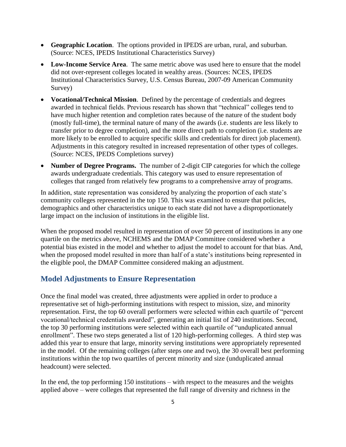- **Geographic Location**. The options provided in IPEDS are urban, rural, and suburban. (Source: NCES, IPEDS Institutional Characteristics Survey)
- **Low-Income Service Area**. The same metric above was used here to ensure that the model did not over-represent colleges located in wealthy areas. (Sources: NCES, IPEDS Institutional Characteristics Survey, U.S. Census Bureau, 2007-09 American Community Survey)
- **Vocational/Technical Mission**. Defined by the percentage of credentials and degrees awarded in technical fields. Previous research has shown that "technical" colleges tend to have much higher retention and completion rates because of the nature of the student body (mostly full-time), the terminal nature of many of the awards (i.e. students are less likely to transfer prior to degree completion), and the more direct path to completion (i.e. students are more likely to be enrolled to acquire specific skills and credentials for direct job placement). Adjustments in this category resulted in increased representation of other types of colleges. (Source: NCES, IPEDS Completions survey)
- **Number of Degree Programs.** The number of 2-digit CIP categories for which the college awards undergraduate credentials. This category was used to ensure representation of colleges that ranged from relatively few programs to a comprehensive array of programs.

In addition, state representation was considered by analyzing the proportion of each state's community colleges represented in the top 150. This was examined to ensure that policies, demographics and other characteristics unique to each state did not have a disproportionately large impact on the inclusion of institutions in the eligible list.

When the proposed model resulted in representation of over 50 percent of institutions in any one quartile on the metrics above, NCHEMS and the DMAP Committee considered whether a potential bias existed in the model and whether to adjust the model to account for that bias. And, when the proposed model resulted in more than half of a state's institutions being represented in the eligible pool, the DMAP Committee considered making an adjustment.

#### **Model Adjustments to Ensure Representation**

Once the final model was created, three adjustments were applied in order to produce a representative set of high-performing institutions with respect to mission, size, and minority representation. First, the top 60 overall performers were selected within each quartile of "percent vocational/technical credentials awarded", generating an initial list of 240 institutions. Second, the top 30 performing institutions were selected within each quartile of "unduplicated annual enrollment". These two steps generated a list of 120 high-performing colleges. A third step was added this year to ensure that large, minority serving institutions were appropriately represented in the model. Of the remaining colleges (after steps one and two), the 30 overall best performing institutions within the top two quartiles of percent minority and size (unduplicated annual headcount) were selected.

In the end, the top performing 150 institutions – with respect to the measures and the weights applied above – were colleges that represented the full range of diversity and richness in the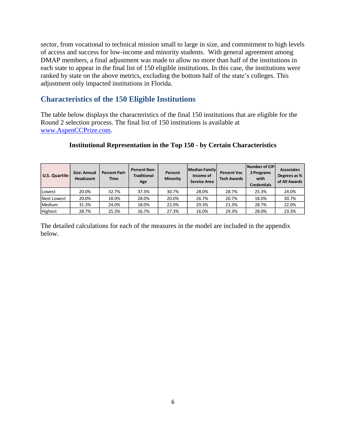sector, from vocational to technical mission small to large in size, and commitment to high levels of access and success for low-income and minority students. With general agreement among DMAP members, a final adjustment was made to allow no more than half of the institutions in each state to appear in the final list of 150 eligible institutions. In this case, the institutions were ranked by state on the above metrics, excluding the bottom half of the state's colleges. This adjustment only impacted institutions in Florida.

### **Characteristics of the 150 Eligible Institutions**

The table below displays the characteristics of the final 150 institutions that are eligible for the Round 2 selection process. The final list of 150 institutions is available at [www.AspenCCPrize.com.](http://www.aspenccprize.com/)

#### **Institutional Representation in the Top 150 - by Certain Characteristics**

| U.S. Quartile | Size: Annual<br><b>Headcount</b> | Percent Part-<br><b>Time</b> | <b>Percent Non-</b><br><b>Traditional</b><br>Age | Percent<br><b>Minority</b> | <b>Median Family</b><br>Income of<br><b>Service Area</b> | <b>Percent Voc</b><br><b>Tech Awards</b> | Number of CIP-<br>2 Programs<br>with<br><b>Credentials</b> | <b>Associates</b><br>Degrees as %<br>of All Awards |
|---------------|----------------------------------|------------------------------|--------------------------------------------------|----------------------------|----------------------------------------------------------|------------------------------------------|------------------------------------------------------------|----------------------------------------------------|
| Lowest        | 20.0%                            | 32.7%                        | 37.3%                                            | 30.7%                      | 28.0%                                                    | 28.7%                                    | 25.3%                                                      | 24.0%                                              |
| Next Lowest   | 20.0%                            | 18.0%                        | 28.0%                                            | 20.0%                      | 26.7%                                                    | 20.7%                                    | 18.0%                                                      | 30.7%                                              |
| Medium        | 31.3%                            | 24.0%                        | 18.0%                                            | 22.0%                      | 29.3%                                                    | 21.3%                                    | 28.7%                                                      | 22.0%                                              |
| Highest       | 28.7%                            | 25.3%                        | 16.7%                                            | 27.3%                      | 16.0%                                                    | 29.3%                                    | 28.0%                                                      | 23.3%                                              |

The detailed calculations for each of the measures in the model are included in the appendix below.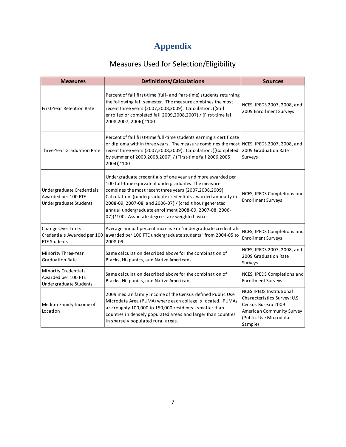# **Appendix**

# Measures Used for Selection/Eligibility

| <b>Measures</b>                                                                                                                                                                                                                                                                                                                  | <b>Definitions/Calculations</b>                                                                                                                                                                                                                                                                                                                                                                                       | <b>Sources</b>                                                                                                                                         |  |
|----------------------------------------------------------------------------------------------------------------------------------------------------------------------------------------------------------------------------------------------------------------------------------------------------------------------------------|-----------------------------------------------------------------------------------------------------------------------------------------------------------------------------------------------------------------------------------------------------------------------------------------------------------------------------------------------------------------------------------------------------------------------|--------------------------------------------------------------------------------------------------------------------------------------------------------|--|
| First-Year Retention Rate                                                                                                                                                                                                                                                                                                        | Percent of fall first-time (full- and Part-time) students returning<br>the following fall semester. The measure combines the most<br>recent three years (2007,2008,2009). Calculation: ((Still<br>enrolled or completed fall 2009,2008,2007) / (First-time fall<br>2008,2007, 2006))*100                                                                                                                              | NCES, IPEDS 2007, 2008, and<br>2009 Enrollment Surveys                                                                                                 |  |
| Three-Year Graduation Rate                                                                                                                                                                                                                                                                                                       | Percent of fall first-time full-time students earning a certificate<br>or diploma within three years. The measure combines the most NCES, IPEDS 2007, 2008, and<br>recent three years (2007,2008,2009). Calculation: )(Completed<br>by summer of 2009,2008,2007) / (First-time fall 2006,2005,<br>2004))*100                                                                                                          | 2009 Graduation Rate<br>Surveys                                                                                                                        |  |
| Undergraduate Credentials<br>Awarded per 100 FTE<br>Undergraduate Students                                                                                                                                                                                                                                                       | Undergraduate credentials of one year and more awarded per<br>100 full-time equivalent undergraduates. The measure<br>combines the most recent three years (2007,2008,2009).<br>Calculation: ((undergraduate credentials awarded annually in<br>2008-09, 2007-08, and 2006-07) / (credit hour generated<br>annual undergraduate enrollment 2008-09, 2007-08, 2006-<br>07))*100. Associate degrees are weighted twice. | NCES, IPEDS Completions and<br><b>Enrollment Surveys</b>                                                                                               |  |
| Change Over Time:<br>Credentials Awarded per 100<br><b>FTE Students</b>                                                                                                                                                                                                                                                          | Average annual percent increase in "undergraduate credentials<br>awarded per 100 FTE undergraduate students" from 2004-05 to<br>2008-09.                                                                                                                                                                                                                                                                              | NCES, IPEDS Completions and<br><b>Enrollment Surveys</b>                                                                                               |  |
| Minority Three-Year<br><b>Graduation Rate</b>                                                                                                                                                                                                                                                                                    | Same calculation described above for the combination of<br>Blacks, Hispanics, and Native Americans.                                                                                                                                                                                                                                                                                                                   | NCES, IPEDS 2007, 2008, and<br>2009 Graduation Rate<br>Surveys                                                                                         |  |
| <b>Minority Credentials</b><br>Awarded per 100 FTE<br>Undergraduate Students                                                                                                                                                                                                                                                     | Same calculation described above for the combination of<br>Blacks, Hispanics, and Native Americans.                                                                                                                                                                                                                                                                                                                   | NCES, IPEDS Completions and<br><b>Enrollment Surveys</b>                                                                                               |  |
| 2009 median family income of the Census defined Public Use<br>Microdata Area (PUMA) where each college is located. PUMAs<br>Median Family Income of<br>are roughly 100,000 to 150,000 residents - smaller than<br>Location<br>counties in densely populated areas and larger than counties<br>in sparsely populated rural areas. |                                                                                                                                                                                                                                                                                                                                                                                                                       | <b>NCES IPEDS Institutional</b><br>Characteristics Survey; U.S.<br>Census Bureau 2009<br>American Community Survey<br>(Public Use Microdata<br>Sample) |  |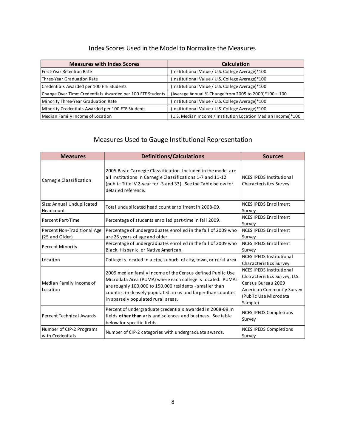## Index Scores Used in the Model to Normalize the Measures

| <b>Measures with Index Scores</b>                          | <b>Calculation</b>                                            |  |  |
|------------------------------------------------------------|---------------------------------------------------------------|--|--|
| First-Year Retention Rate                                  | (Institutional Value / U.S. College Average)*100              |  |  |
| Three-Year Graduation Rate                                 | (Institutional Value / U.S. College Average)*100              |  |  |
| Credentials Awarded per 100 FTE Students                   | (Institutional Value / U.S. College Average)*100              |  |  |
| Change Over Time: Credentials Awarded per 100 FTE Students | (Average Annual % Change from 2005 to 2009)*100 + 100         |  |  |
| Minority Three-Year Graduation Rate                        | (Institutional Value / U.S. College Average)*100              |  |  |
| Minority Credentials Awarded per 100 FTE Students          | (Institutional Value / U.S. College Average)*100              |  |  |
| Median Family Income of Location                           | (U.S. Median Income / Institution Location Median Income)*100 |  |  |

## Measures Used to Gauge Institutional Representation

| <b>Measures</b>                               | <b>Definitions/Calculations</b>                                                                                                                                                                                                                                                           | <b>Sources</b>                                                                                                                                         |  |
|-----------------------------------------------|-------------------------------------------------------------------------------------------------------------------------------------------------------------------------------------------------------------------------------------------------------------------------------------------|--------------------------------------------------------------------------------------------------------------------------------------------------------|--|
| Carnegie Classification                       | 2005 Basic Carnegie Classification. Included in the model are<br>all institutions in Carnegie Classifications 1-7 and 11-12<br>(public Title IV 2-year for -3 and 33). See the Table below for<br>detailed reference.                                                                     | <b>NCES IPEDS Institutional</b><br>Characteristics Survey                                                                                              |  |
| Size: Annual Unduplicated<br>Headcount        | Total unduplicated head count enrollment in 2008-09.                                                                                                                                                                                                                                      | <b>NCES IPEDS Enrollment</b><br>Survey                                                                                                                 |  |
| Percent Part-Time                             | Percentage of students enrolled part-time in fall 2009.                                                                                                                                                                                                                                   | <b>NCES IPEDS Enrollment</b><br>Survey                                                                                                                 |  |
| Percent Non-Traditional Age<br>(25 and Older) | Percentage of undergraduates enrolled in the fall of 2009 who<br>are 25 years of age and older.                                                                                                                                                                                           | <b>NCES IPEDS Enrollment</b><br>Survey                                                                                                                 |  |
| Percent Minority                              | Percentage of undergraduates enrolled in the fall of 2009 who<br>Black, Hispanic, or Native American.                                                                                                                                                                                     | <b>NCES IPEDS Enrollment</b><br>Survey                                                                                                                 |  |
| Location                                      | College is located in a city, suburb of city, town, or rural area.                                                                                                                                                                                                                        | <b>NCES IPEDS Institutional</b><br>Characteristics Survey                                                                                              |  |
| Median Family Income of<br>Location           | 2009 median family income of the Census defined Public Use<br>Microdata Area (PUMA) where each college is located. PUMAs<br>are roughly 100,000 to 150,000 residents - smaller than<br>counties in densely populated areas and larger than counties<br>in sparsely populated rural areas. | <b>NCES IPEDS Institutional</b><br>Characteristics Survey; U.S.<br>Census Bureau 2009<br>American Community Survey<br>(Public Use Microdata<br>Sample) |  |
| Percent Technical Awards                      | Percent of undergraduate credentials awarded in 2008-09 in<br>fields other than arts and sciences and business. See table<br>below for specific fields.                                                                                                                                   | <b>NCES IPEDS Completions</b><br>Survey                                                                                                                |  |
| Number of CIP-2 Programs<br>with Credentials  | Number of CIP-2 categories with undergraduate awards.                                                                                                                                                                                                                                     | <b>NCES IPEDS Completions</b><br>Survey                                                                                                                |  |